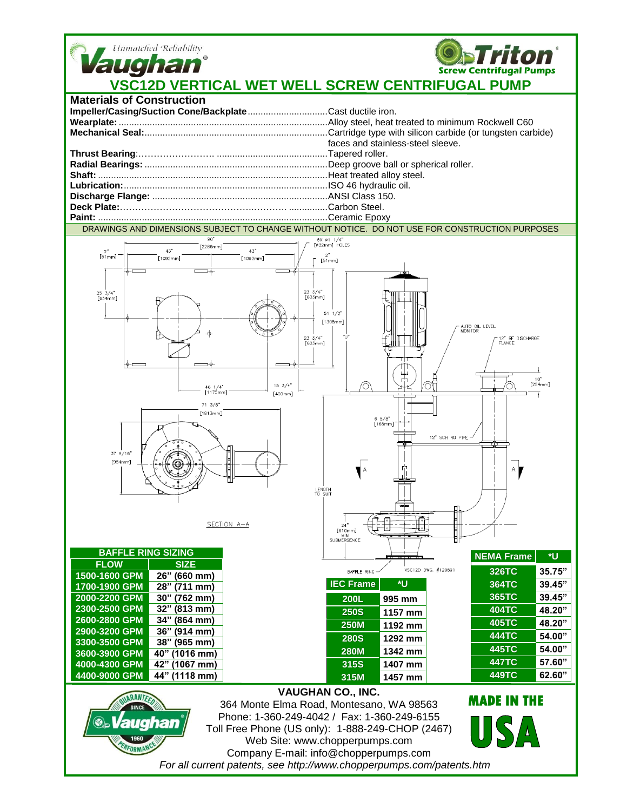